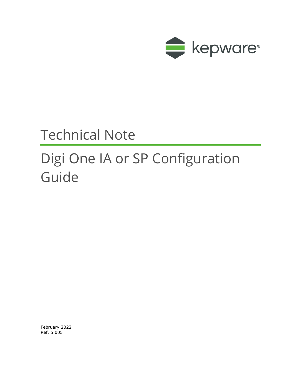

## Technical Note

# Digi One IA or SP Configuration Guide

February 2022 Ref. 5.005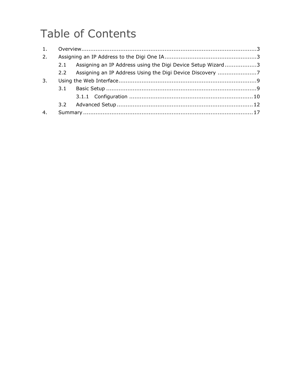## Table of Contents

| 2. |                                                                 |  |
|----|-----------------------------------------------------------------|--|
|    | 2.1 Assigning an IP Address using the Digi Device Setup Wizard3 |  |
|    |                                                                 |  |
| 3. |                                                                 |  |
|    |                                                                 |  |
|    |                                                                 |  |
|    |                                                                 |  |
| 4. |                                                                 |  |
|    |                                                                 |  |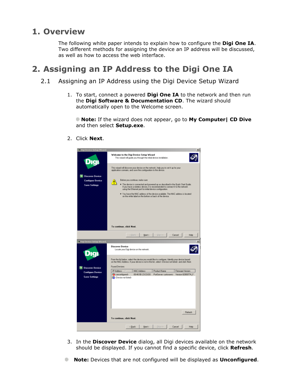### **1. Overview**

The following white paper intends to explain how to configure the **Digi One IA**. Two different methods for assigning the device an IP address will be discussed, as well as how to access the web interface.

### **2. Assigning an IP Address to the Digi One IA**

- 2.1 Assigning an IP Address using the Digi Device Setup Wizard
	- 1. To start, connect a powered **Digi One IA** to the network and then run the **Digi Software & Documentation CD**. The wizard should automatically open to the Welcome screen.

**Note:** If the wizard does not appear, go to **My Computer| CD Dive** and then select **Setup.exe**.



2. Click **Next**.

- 3. In the **Discover Device** dialog, all Digi devices available on the network should be displayed. If you cannot find a specific device, click **Refresh**.
- **Note:** Devices that are not configured will be displayed as **Unconfigured**.atin a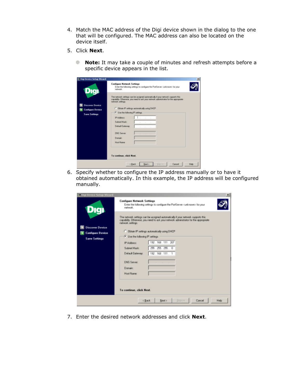- 4. Match the MAC address of the Digi device shown in the dialog to the one that will be configured. The MAC address can also be located on the device itself.
- 5. Click **Next**.
	- **Note:** It may take a couple of minutes and refresh attempts before a specific device appears in the list.

| C Digi Device Setup Wizard |                                                                                                                                                                                                |      |
|----------------------------|------------------------------------------------------------------------------------------------------------------------------------------------------------------------------------------------|------|
| Digi                       | <b>Configure Network Settings</b><br>Enter the following settings to configure the PortServer <unknown> for your<br/>network.</unknown>                                                        |      |
|                            | The network settings can be assigned automatically if your network supports this<br>capability. Otherwise, you need to ask your network administrator for the appropriate<br>network settings. |      |
| <b>Discover Device</b>     | C Obtain IP settings automatically using DHCP                                                                                                                                                  |      |
| <b>Configure Device</b>    | F Use the following IP settings                                                                                                                                                                |      |
| <b>Save Settings</b>       | IP Address:<br>×.<br>Subnet Mask:<br>. .<br>Default Gateway.<br>DNS Server:<br><b>Domain:</b><br>Host Name:                                                                                    |      |
|                            | To continue, click Next,                                                                                                                                                                       |      |
|                            | Skip so<br>< Back<br>Next ><br>Cancel                                                                                                                                                          | Help |

6. Specify whether to configure the IP address manually or to have it obtained automatically. In this example, the IP address will be configured manually.

| Digi Device Setup Wizard |                                                                                                                                                                                                 | $\mathbf{x}$ |
|--------------------------|-------------------------------------------------------------------------------------------------------------------------------------------------------------------------------------------------|--------------|
| Dıqı                     | <b>Configure Network Settings</b><br>Enter the following settings to configure the PortServer cunknown) for your<br>network.                                                                    |              |
|                          | The network settings can be assigned automatically if your network supports this:<br>capability. Otherwise, you need to ask your network administrator for the appropriate<br>network settings. |              |
| <b>Discover Device</b>   |                                                                                                                                                                                                 |              |
| <b>Configure Device</b>  | C Dbtain IP settings automatically using DHCP                                                                                                                                                   |              |
| <b>Save Settings</b>     | <b>C</b> Use the following IP settings                                                                                                                                                          |              |
|                          | 192.168.111.207<br>IP Addwer                                                                                                                                                                    |              |
|                          | 255.255.255.0<br>Subnet Mark:                                                                                                                                                                   |              |
|                          | Default Gateway.<br>192.168.111.1                                                                                                                                                               |              |
|                          | DNS Server:                                                                                                                                                                                     |              |
|                          | <b>Domain:</b>                                                                                                                                                                                  |              |
|                          | Host Name:                                                                                                                                                                                      |              |
|                          |                                                                                                                                                                                                 |              |
|                          |                                                                                                                                                                                                 |              |
|                          | To continue, click Next.                                                                                                                                                                        |              |
|                          |                                                                                                                                                                                                 |              |
|                          | Skip >><br><back<br>Next &gt;<br/>Cancel</back<br>                                                                                                                                              | Help         |
|                          |                                                                                                                                                                                                 |              |

7. Enter the desired network addresses and click **Next**.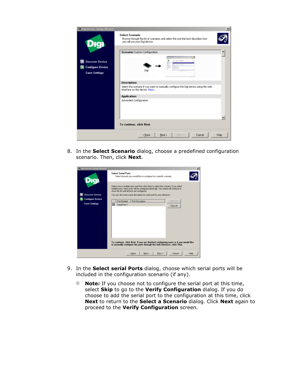

8. In the **Select Scenario** dialog, choose a predefined configuration scenario. Then, click **Next**.

| Digi Device Setup Wizard |                                                                                                                                                                                                                                     |
|--------------------------|-------------------------------------------------------------------------------------------------------------------------------------------------------------------------------------------------------------------------------------|
| <b>Jiqi</b>              | <b>Select Serial Posts</b><br>Select the ports you would like to configure for a specific scenario.                                                                                                                                 |
|                          | Select one or nultiple ports and then click Next to select the scenario. If you select<br>multiple poits, these poits will be configured identically. The wizard will continue to<br>show this list until all ports are configured. |
| <b>Discover Device</b>   | You can also enter a port description for each port for your reference.                                                                                                                                                             |
| <b>Configure Device</b>  | Select AT<br>Port Number<br>Part Description                                                                                                                                                                                        |
| <b>Save Settings</b>     | ⊠<br>Serial Port 1                                                                                                                                                                                                                  |
|                          | Clear All                                                                                                                                                                                                                           |
|                          |                                                                                                                                                                                                                                     |
|                          |                                                                                                                                                                                                                                     |
|                          |                                                                                                                                                                                                                                     |
|                          |                                                                                                                                                                                                                                     |
|                          |                                                                                                                                                                                                                                     |
|                          |                                                                                                                                                                                                                                     |
|                          |                                                                                                                                                                                                                                     |
|                          |                                                                                                                                                                                                                                     |
|                          | To continue, alick Next. If you are finished configuring ports or if you would like<br>to manually configure the ports through the web interface, click Skip.                                                                       |
|                          |                                                                                                                                                                                                                                     |
|                          | < Back<br>$Skip$ >><br>Help<br>Next ><br>Cancel                                                                                                                                                                                     |
|                          |                                                                                                                                                                                                                                     |

- 9. In the **Select serial Ports** dialog, choose which serial ports will be included in the configuration scenario (if any).
	- **Note:** If you choose not to configure the serial port at this time, ۰ select **Skip** to go to the **Verify Configuration** dialog. If you do choose to add the serial port to the configuration at this time, click **Next** to return to the **Select a Scenario** dialog. Click **Next** again to proceed to the **Verify Configuration** screen.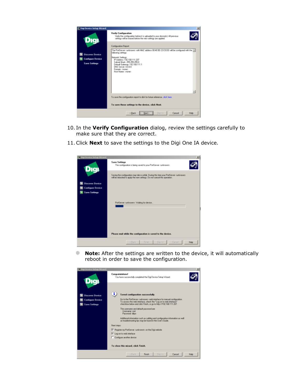

- 10. In the **Verify Configuration** dialog, review the settings carefully to make sure that they are correct.
- 11.Click **Next** to save the settings to the Digi One IA device.

| Digi Device Setup Wizard |                                                                                                                                                                     | ×           |
|--------------------------|---------------------------------------------------------------------------------------------------------------------------------------------------------------------|-------------|
| Dıgı                     | <b>Save Settings</b><br>The configuration is being saved to your PortServer <unknown>.</unknown>                                                                    |             |
|                          | Saving the configuration may take a while. During this time your PortServer (unknown).<br>will be rebooted to apply the new settings. Do not cancel this operation. |             |
| <b>Discover Device</b>   |                                                                                                                                                                     |             |
| <b>Configure Device</b>  |                                                                                                                                                                     |             |
| <b>Save Settings</b>     |                                                                                                                                                                     |             |
|                          | PartServer <unknowno: device<="" for="" th="" waiting=""><th></th></unknowno:>                                                                                      |             |
|                          |                                                                                                                                                                     |             |
|                          |                                                                                                                                                                     |             |
|                          | Please wait while the configuration is saved to the device.                                                                                                         |             |
|                          | <b>Dancel</b><br>c Back<br>Finish<br>Skip >>                                                                                                                        | <b>Help</b> |

۰ **Note:** After the settings are written to the device, it will automatically reboot in order to save the configuration.

| Digi Device Setup Wizard                                                  |                                                                                                                                                                                                                                                                                                                                                                                                                                                                                    |  |
|---------------------------------------------------------------------------|------------------------------------------------------------------------------------------------------------------------------------------------------------------------------------------------------------------------------------------------------------------------------------------------------------------------------------------------------------------------------------------------------------------------------------------------------------------------------------|--|
| Dıgı                                                                      | Congratulations!<br>You have successfully completed the Digi Device Setup Wizard.                                                                                                                                                                                                                                                                                                                                                                                                  |  |
| <b>Discover Device</b><br><b>Configure Device</b><br><b>Save Settings</b> | ī<br>Saved configuration successfully.<br>Go to the PortServer cunknown) web interface for manual configuration.<br>To access the web interface, check the "Log on to web interface"<br>checkbox below and click Finish, or go to http://192.168.111.207.<br>The usemane and default password are:<br>Uservame: soot<br>Password dope<br>Additional information such as cabling and configuration information as well<br>as troubleshooting tips may be found in the User's Guide. |  |
|                                                                           | Next steps:                                                                                                                                                                                                                                                                                                                                                                                                                                                                        |  |
|                                                                           | Register my PortServer cunknowno on the Digi website                                                                                                                                                                                                                                                                                                                                                                                                                               |  |
|                                                                           | E Log on to web interface                                                                                                                                                                                                                                                                                                                                                                                                                                                          |  |
|                                                                           | Configure another device                                                                                                                                                                                                                                                                                                                                                                                                                                                           |  |
|                                                                           | To close this wizard, click Finish.                                                                                                                                                                                                                                                                                                                                                                                                                                                |  |
|                                                                           | Finish<br>Skip>><br>c Back<br>Cancel<br>Help                                                                                                                                                                                                                                                                                                                                                                                                                                       |  |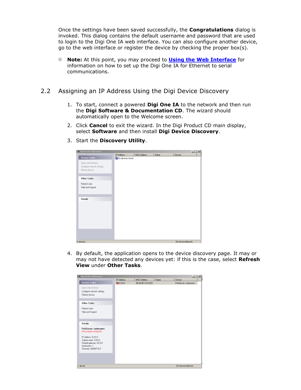Once the settings have been saved successfully, the **Congratulations** dialog is invoked. This dialog contains the default username and password that are used to login to the Digi One IA web interface. You can also configure another device, go to the web interface or register the device by checking the proper box(s).

- **Note:** At this point, you may proceed to **[Using the Web Interface](#page-8-0)** for information on how to set up the Digi One IA for Ethernet to serial communications.
- 2.2 Assigning an IP Address Using the Digi Device Discovery
	- 1. To start, connect a powered **Digi One IA** to the network and then run the **Digi Software & Documentation CD**. The wizard should automatically open to the Welcome screen.
	- 2. Click **Cancel** to exit the wizard. In the Digi Product CD main display, select **Software** and then install **Digi Device Discovery**.
		- **ST Diai Device Discovery**  $\Box$ IP Address A | MAC Address | Name Device Device Tasks No devices found Open web interface Configure network settings Reboot device Other Tasks Refresh view Help and Support Details 0 device My Device Network
	- 3. Start the **Discovery Utility**.

4. By default, the application opens to the device discovery page. It may or may not have detected any devices yet: if this is the case, select **Refresh View** under **Other Tasks**.

| Digi Device Discovery          |                              |                    |      |                     | 하다세 |
|--------------------------------|------------------------------|--------------------|------|---------------------|-----|
|                                | IP Address<br>$\overline{X}$ | <b>NAC Address</b> | Name | Device              |     |
| Device Tasks                   | 30000                        | 00:40:90:23:C0:DD  |      | PotServer curknown. |     |
| Open web interface             |                              |                    |      |                     |     |
| Configure network settings     |                              |                    |      |                     |     |
| Reboot device                  |                              |                    |      |                     |     |
|                                |                              |                    |      |                     |     |
| <b>Other Tasks</b>             |                              |                    |      |                     |     |
| Rehech view                    |                              |                    |      |                     |     |
| Help and Support               |                              |                    |      |                     |     |
|                                |                              |                    |      |                     |     |
|                                |                              |                    |      |                     |     |
| Details                        |                              |                    |      |                     |     |
| PortServer <unknown></unknown> |                              |                    |      |                     |     |
| Not propelly configured        |                              |                    |      |                     |     |
| IP address 0.00.0              |                              |                    |      |                     |     |
| Subret made 0.00.0             |                              |                    |      |                     |     |
| Default gateway: 0.0.0.0       |                              |                    |      |                     |     |
| Serial poets 1                 |                              |                    |      |                     |     |
| Firmware 82000774_F            |                              |                    |      |                     |     |
|                                |                              |                    |      |                     |     |
|                                |                              |                    |      |                     |     |
|                                |                              |                    |      |                     |     |
| 1 device                       |                              |                    |      | My Device Network.  |     |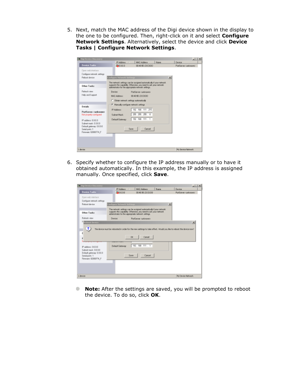5. Next, match the MAC address of the Digi device shown in the display to the one to be configured. Then, right-click on it and select **Configure Network Settings**. Alternatively, select the device and click **Device Tasks | Configure Network Settings**.



6. Specify whether to configure the IP address manually or to have it obtained automatically. In this example, the IP address is assigned manually. Once specified, click **Save**.

| <b>Digi Device Discovery</b>                                                                                                                         |                                                                   |             |                                                                                                                                           |              | $ \Box$ $\times$                                                                                                                   |  |
|------------------------------------------------------------------------------------------------------------------------------------------------------|-------------------------------------------------------------------|-------------|-------------------------------------------------------------------------------------------------------------------------------------------|--------------|------------------------------------------------------------------------------------------------------------------------------------|--|
|                                                                                                                                                      | IP Addense                                                        |             | <b>MAC Address</b>                                                                                                                        | Name         | Device                                                                                                                             |  |
| <b>Device Tarks</b>                                                                                                                                  | 500.00                                                            |             | 00:40:90:23:00:00                                                                                                                         |              | PartServer curlinowro-                                                                                                             |  |
| Dpen web interface                                                                                                                                   |                                                                   |             |                                                                                                                                           |              |                                                                                                                                    |  |
| Configure network settings                                                                                                                           |                                                                   |             |                                                                                                                                           |              |                                                                                                                                    |  |
| Reboot device                                                                                                                                        | Configure Network Settings                                        |             |                                                                                                                                           | $\mathbf{x}$ |                                                                                                                                    |  |
| <b>Other Tasks</b>                                                                                                                                   | administrator for the appropriate network settings.               |             | The network petings can be assigned autorastically it your network.<br>supports this capability. Otherwise, you need to ask your network. |              |                                                                                                                                    |  |
| Retreats view                                                                                                                                        | Device                                                            |             | PortServer curtonovers                                                                                                                    |              |                                                                                                                                    |  |
| <b>Reboot Device</b><br>Ÿ.<br>D<br>Paddress: 0.0.0.0<br>Subret nesk: D.O.D.O.<br>Detault gateway: 0.0.0.0<br>Serial ports: 1<br>Finware: B2000774. F | <b>CONTRACTOR SPONSOR IN 1979 WORKS</b><br><b>Detault Gatewar</b> | OK.<br>Save | Cancel<br>192.168.111.1<br>Cancel                                                                                                         |              | $\mathbf{x}$<br>The device nust be rebooted in order for the new settings to take effect. Would you like to reboot the device now? |  |
| 1 device                                                                                                                                             |                                                                   |             |                                                                                                                                           |              | <b>Wy Device Network</b>                                                                                                           |  |

۰ **Note:** After the settings are saved, you will be prompted to reboot the device. To do so, click **OK**.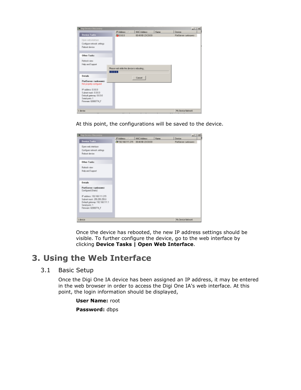| <b>Citigi Device Discovery</b>                  |                                           |                    |      | $-101 \times$       |
|-------------------------------------------------|-------------------------------------------|--------------------|------|---------------------|
|                                                 | IP Address                                | <b>NAC Address</b> | Name | Device              |
| <b>Device Tasks</b>                             | 30000                                     | 00:40:90:23:CDDO   |      | PotServer curknown. |
| Open web interface                              |                                           |                    |      |                     |
| Conligure network settings                      |                                           |                    |      |                     |
| <b>Palmet device</b>                            |                                           |                    |      |                     |
| <b>Other Tasks</b>                              |                                           |                    |      |                     |
| Flattech view                                   |                                           |                    |      |                     |
| Help and Support                                |                                           |                    |      |                     |
|                                                 | Please wait while the device is rebooking |                    |      |                     |
|                                                 | шп                                        |                    |      |                     |
| Details                                         |                                           | Cancel             |      |                     |
| PortServer (unknown)<br>Not propelly configured |                                           |                    |      |                     |
| IP address 0.00.0                               |                                           |                    |      |                     |
| Subrat made 0.00.0                              |                                           |                    |      |                     |
| Definal galeries, 0:0.0.0                       |                                           |                    |      |                     |
| Sekil pote 1<br>Firmwax 82000774 F              |                                           |                    |      |                     |
|                                                 |                                           |                    |      |                     |
| I device                                        |                                           |                    |      | My Device Nativork  |

At this point, the configurations will be saved to the device.

| <b>Digi Device Discovery</b>                |                                     |                    |      | $-101 \times 1$     |
|---------------------------------------------|-------------------------------------|--------------------|------|---------------------|
|                                             | <b>IP Address</b><br>$\overline{1}$ | <b>HAC Address</b> | Name | Device              |
| <b>Device Tasks</b>                         | E192168111.215 00:40:90:23 C0:DO    |                    |      | PotServer curknown- |
| Dpenveds interface                          |                                     |                    |      |                     |
| Configure network certings                  |                                     |                    |      |                     |
| Rebeet device                               |                                     |                    |      |                     |
| <b>Other Tasks</b>                          |                                     |                    |      |                     |
| Rekeds view                                 |                                     |                    |      |                     |
| Help and Support                            |                                     |                    |      |                     |
|                                             |                                     |                    |      |                     |
| Details                                     |                                     |                    |      |                     |
|                                             |                                     |                    |      |                     |
| PortServer curknown)<br>Configured (Static) |                                     |                    |      |                     |
| Paddess: 192.168.111.215                    |                                     |                    |      |                     |
| Subnet mask: 255,255,255.0                  |                                     |                    |      |                     |
| Delault gateway: 192.168.111.1              |                                     |                    |      |                     |
| Serial parts: 1<br>Finnware: B2000774. F    |                                     |                    |      |                     |
|                                             |                                     |                    |      |                     |
|                                             |                                     |                    |      |                     |
| 1 device                                    |                                     |                    |      | My Device-Network   |

Once the device has rebooted, the new IP address settings should be visible. To further configure the device, go to the web interface by clicking **Device Tasks | Open Web Interface**.

## <span id="page-8-0"></span>**3. Using the Web Interface**

#### 3.1 Basic Setup

Once the Digi One IA device has been assigned an IP address, it may be entered in the web browser in order to access the Digi One IA's web interface. At this point, the login information should be displayed,

**User Name:** root **Password:** dbps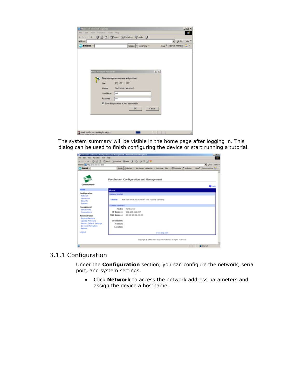| Microsoft Internet Explorer<br>File Edit Yew Favorites Tools Help |                               |                                          |                      |                |                   |                           | $-10 \times$ |
|-------------------------------------------------------------------|-------------------------------|------------------------------------------|----------------------|----------------|-------------------|---------------------------|--------------|
| + Book - → - ◎ ③ △ ◎Search (igFavorites @Media ③                  |                               |                                          |                      |                |                   |                           |              |
| Address                                                           |                               |                                          |                      |                |                   | ▼ @Go Links <sup>30</sup> |              |
| <b>My Search -</b>                                                |                               |                                          | Google v AltaVista v |                | More <sup>₩</sup> | Norton AntiWrus 2 v       |              |
|                                                                   |                               |                                          |                      |                |                   |                           |              |
|                                                                   |                               |                                          |                      |                |                   |                           |              |
|                                                                   |                               |                                          |                      |                |                   |                           |              |
|                                                                   |                               |                                          |                      |                |                   |                           |              |
|                                                                   | <b>Enter Network Password</b> |                                          |                      |                |                   |                           |              |
|                                                                   |                               |                                          |                      | $ 2 $ $\times$ |                   |                           |              |
|                                                                   |                               | Please type your user name and password. |                      |                |                   |                           |              |
|                                                                   | Site:                         | 192.168.111.207                          |                      |                |                   |                           |              |
|                                                                   | Realm                         | PatServer <unknown></unknown>            |                      |                |                   |                           |              |
|                                                                   | User Name                     | root                                     |                      |                |                   |                           |              |
|                                                                   | Password                      | <b>SVVS</b>                              |                      |                |                   |                           |              |
|                                                                   |                               | Save this password in your password list |                      |                |                   |                           |              |
|                                                                   |                               |                                          |                      |                |                   |                           |              |
|                                                                   |                               |                                          | DK                   | Cancel         |                   |                           |              |
|                                                                   |                               |                                          |                      |                |                   |                           |              |
|                                                                   |                               |                                          |                      |                |                   |                           |              |
|                                                                   |                               |                                          |                      |                |                   |                           |              |
|                                                                   |                               |                                          |                      |                |                   |                           |              |
| T Web site found. Waiting for reply                               |                               |                                          |                      |                |                   |                           |              |

The system summary will be visible in the home page after logging in. This dialog can be used to finish configuring the device or start running a tutorial.

| PortServer <unknown> Configuration and Management - Microsoft Internet Explorer</unknown> |                                 |                                                                                                                   | 上层图               |
|-------------------------------------------------------------------------------------------|---------------------------------|-------------------------------------------------------------------------------------------------------------------|-------------------|
| File Edit View Favorbet Tools Help                                                        |                                 |                                                                                                                   | <b>COL</b>        |
|                                                                                           |                                 | +100 · + · ③ ③ ② ③kwh ④kwhs ③hola ③ ② ③ ③ ③ ③                                                                     |                   |
| Address @ http://192.168.111.207f                                                         |                                 |                                                                                                                   | . philo late »    |
| T Search -                                                                                |                                 | Google   Akarista + Adultenes Althebrids + Locklead: Film + @ Customics ( My Button, Most F. Norton Activity, C + |                   |
| Connectware"                                                                              |                                 | PortServer Configuration and Management                                                                           |                   |
|                                                                                           |                                 |                                                                                                                   | $\mathbf{Q}$ Help |
| <b>Home</b>                                                                               | Home                            |                                                                                                                   |                   |
| Configuration                                                                             | Getting Started                 |                                                                                                                   |                   |
| <b>Not work</b><br>Serial Port<br>Security<br>System                                      | Tubarial                        | Not sure what to do next? This Tutorial can help.                                                                 |                   |
| Management                                                                                | <b>System Summary</b>           |                                                                                                                   |                   |
| Serial Ports                                                                              | Model:                          | PortServer                                                                                                        |                   |
| Connections                                                                               |                                 | IP Address: 192.160.111.207                                                                                       |                   |
| Administration                                                                            |                                 | M&C Address: 00:40:90:23:00:00                                                                                    |                   |
| <b>Backup/Restore</b>                                                                     |                                 |                                                                                                                   |                   |
| <b>Update Firmware</b><br>Factory Default Settings                                        | <b>Description:</b><br>Contact: |                                                                                                                   |                   |
| Device Information                                                                        | Lecations                       |                                                                                                                   |                   |
| <b>Reboot</b>                                                                             |                                 |                                                                                                                   |                   |
| Logout                                                                                    |                                 | www.digi.com                                                                                                      |                   |
|                                                                                           |                                 | Copyright @ 1994-2003 Digi Smanutional. All rights reserved.                                                      |                   |
|                                                                                           |                                 |                                                                                                                   | <b>O</b> Internet |
|                                                                                           |                                 |                                                                                                                   |                   |

#### 3.1.1 Configuration

Under the **Configuration** section, you can configure the network, serial port, and system settings.

• Click **Network** to access the network address parameters and assign the device a hostname.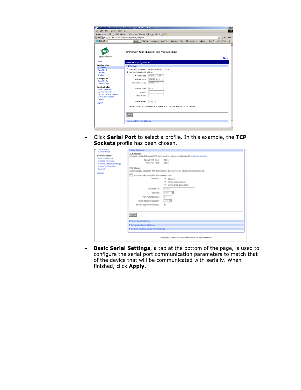|                                                                    | 4Back - → - 3 3 3 3 3 cearch @Favorites @Media 3 4 - 3 E B                           |                                         |
|--------------------------------------------------------------------|--------------------------------------------------------------------------------------|-----------------------------------------|
| Address + http://192.168.111.207/config/network/network_config.htm |                                                                                      | RG Links <sup>39</sup>                  |
| <b>My Search</b> -                                                 | Google v AtaVista v AskJeeves AltheWeb v LookSmart Files v (B) Customize (TMy Button | More <sup>12</sup> Norton Antillinus 22 |
|                                                                    |                                                                                      |                                         |
|                                                                    |                                                                                      |                                         |
|                                                                    | PortServer Configuration and Management                                              |                                         |
| Connectware <sup>-</sup>                                           |                                                                                      |                                         |
|                                                                    |                                                                                      | $\mathbf{\Theta}$ Help                  |
| Home                                                               | <b>Network Configuration</b>                                                         |                                         |
| Configuration                                                      | ▼ IP Settings                                                                        |                                         |
| <b>Network</b>                                                     | C Obtain an IP address automatically using DHCP *                                    |                                         |
| Serial Port<br>Security                                            | C Use the following IP address:                                                      |                                         |
| System                                                             | * IP Address: 192.168.111.207                                                        |                                         |
| Management                                                         | * Subnet Mask: 255 255 255.0                                                         |                                         |
| <b>Serial Ports</b>                                                | Default Gateway: 192.168.111.1                                                       |                                         |
| Connections                                                        |                                                                                      |                                         |
| <b>Administration</b>                                              | 0.0.0.0<br>Name Server:                                                              |                                         |
| <b>Backup/Restore</b><br><b>Update Firmware</b>                    | Domain:                                                                              |                                         |
| <b>Factory Default Settings</b>                                    | Host Name:                                                                           |                                         |
| Device Information                                                 |                                                                                      |                                         |
| Reboot                                                             | 2000<br>Base Socket:                                                                 |                                         |
| Logout                                                             |                                                                                      |                                         |
|                                                                    | * Changes to DHCP, IP address and Subnet Mask require a reboot to take effect.       |                                         |
|                                                                    |                                                                                      |                                         |
|                                                                    |                                                                                      |                                         |
|                                                                    | Apply                                                                                |                                         |
|                                                                    | Advanced Network Settings                                                            |                                         |

• Click **Serial Port** to select a profile. In this example, the **TCP Sockets** profile has been chosen.

| <b>STATISTICS</b><br>o.                                                  | <b>Profile Settings</b>                                                                             |
|--------------------------------------------------------------------------|-----------------------------------------------------------------------------------------------------|
| Connections                                                              | <b>TCP Server</b>                                                                                   |
| <b>Administration</b><br>Backup/Restore                                  | Connect to the following TCP ports on the network (calculated from Base Socket).                    |
| Update Firmware<br><b>Factory Default Settings</b><br>Device Information | Telnet TCP Port:<br>2001<br>Raw TCP Port:<br>2101                                                   |
| <b>Rabcot</b><br>Logaut                                                  | <b>TCP Client</b><br>Automatically establish TCP connections to a server or other networked device. |
|                                                                          | [ Automatically establish TCP connections                                                           |
|                                                                          | Connect:<br>6 Always<br><sup>@</sup> When data arrives                                              |
|                                                                          | <sup>@</sup> When DCD goes high                                                                     |
|                                                                          | 0000<br>Connect To:                                                                                 |
|                                                                          | Flow <b>H</b><br>Service:                                                                           |
|                                                                          | TCP Port Number:                                                                                    |
|                                                                          | Auto IR<br>Flush Start Character:                                                                   |
|                                                                          | п<br>Send Keepalive Packets:                                                                        |
|                                                                          |                                                                                                     |
|                                                                          | <b>Apply</b>                                                                                        |
|                                                                          | <b>Basic Serial Settings</b>                                                                        |
|                                                                          | F Advanced Serial Settings                                                                          |
|                                                                          | P Restore Factory Serial Port Settings                                                              |
|                                                                          | Capyrgill @ 1996-2003 Digi International, All rights reserved.                                      |

• **Basic Serial Settings**, a tab at the bottom of the page, is used to configure the serial port communication parameters to match that of the device that will be communicated with serially. When finished, click **Apply**.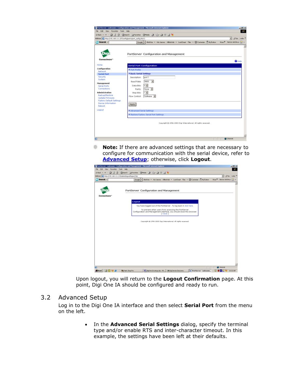| File Edit View Favorites Tools Help                             | PortServer cunknown> Configuration and Management - Microsoft Internet Explorer          | $ \theta$ $\times$<br><b>AND</b>           |
|-----------------------------------------------------------------|------------------------------------------------------------------------------------------|--------------------------------------------|
|                                                                 | →Back - → - ◎ 日 企 ③Saarch (@Paverbox ③Poeda ③  2}- ④ 三 回 号                               |                                            |
| Address 2 http://192.168.111.207/configloo-ts/port_config.htm?: |                                                                                          | pico Links <sup>19</sup><br>$\overline{ }$ |
| <b>MySearch</b> -                                               | Ecopie - Ahalicita - Adk Jaarves Althelwieb - LookSmart Files - 20 Customics ( My Button | Mose <sup>32</sup> Norton Anthlinus 22     |
|                                                                 |                                                                                          |                                            |
|                                                                 |                                                                                          |                                            |
|                                                                 |                                                                                          |                                            |
|                                                                 | PortServer Configuration and Management                                                  |                                            |
| Connectware"                                                    |                                                                                          |                                            |
|                                                                 |                                                                                          | $Q$ Help                                   |
| Home                                                            | <b>Serial Port Configuration</b>                                                         |                                            |
| Configuration                                                   | F Port Profile                                                                           |                                            |
| Natwork                                                         | ▼ Basic Serial Settings                                                                  |                                            |
| <b>Serial Pert</b><br>Security                                  | Description:<br>port 1                                                                   |                                            |
| System                                                          |                                                                                          |                                            |
| Management                                                      | 9600 <b>v</b><br>Baud Rate:                                                              |                                            |
| Serial Ports                                                    | $8 -$<br>Data Bits:                                                                      |                                            |
| Connections                                                     | None -<br>Parity:                                                                        |                                            |
| <b>Administration</b>                                           | $1 -$<br>Stop Bits:                                                                      |                                            |
| Backup/Restore<br>Update Firmware                               | Flow Control: Software                                                                   |                                            |
| Factory Default Settings                                        |                                                                                          |                                            |
| Device Information                                              | Apply                                                                                    |                                            |
| Reboot                                                          |                                                                                          |                                            |
| Logout                                                          | Advanced Serial Settings                                                                 |                                            |
|                                                                 | F Restore Factory Serial Port Settings                                                   |                                            |
|                                                                 |                                                                                          |                                            |
|                                                                 |                                                                                          |                                            |
|                                                                 | Copyright @ 1996-2002 Digi International. All rights recensed.                           |                                            |
|                                                                 |                                                                                          |                                            |
|                                                                 |                                                                                          |                                            |
|                                                                 |                                                                                          |                                            |
| a                                                               |                                                                                          | <b>D</b> Internet                          |

**Note:** If there are advanced settings that are necessary to configure for communication with the serial device, refer to **[Advanced Setup](#page-11-0)**; otherwise, click **Logout**.

|                                                                               | PortServer <unknown> Configuration and Management - Microsoft Internet Explorer</unknown> |                                                                                    |                                     | 그러지                     |
|-------------------------------------------------------------------------------|-------------------------------------------------------------------------------------------|------------------------------------------------------------------------------------|-------------------------------------|-------------------------|
| File.<br>Edit View Favorites Tools Help                                       |                                                                                           |                                                                                    |                                     | 47                      |
|                                                                               | 4-Back - → - ③ ③ ③ ③Saarch (@Pavorkes ③Pada ③   ④- ④ II   3   3   3                       |                                                                                    | $\overline{ }$                      | pico Links <sup>9</sup> |
| Address 2 http://192.168.111.215/admin/logout/logout.htm<br>$M$ Search $\sim$ | Boogle - AhaWata - AdcJenver AltheWeb - LookSmart Files - WCLustonian ( MyButon           |                                                                                    | Moss <sup>32</sup> Norton Anthrus 2 |                         |
|                                                                               |                                                                                           |                                                                                    |                                     |                         |
|                                                                               |                                                                                           |                                                                                    |                                     |                         |
|                                                                               | PortServer Configuration and Management                                                   |                                                                                    |                                     |                         |
| Connectware"                                                                  |                                                                                           |                                                                                    |                                     |                         |
|                                                                               |                                                                                           |                                                                                    |                                     |                         |
|                                                                               | Logout                                                                                    |                                                                                    |                                     |                         |
|                                                                               | You have logged out of the PortServer . To log back in click here.                        |                                                                                    |                                     |                         |
|                                                                               | To prevent ather users from accessing the PortServer                                      |                                                                                    |                                     |                         |
|                                                                               | Configuration and Management interface, you should dose this browser.<br>[ Close ]        |                                                                                    |                                     |                         |
|                                                                               |                                                                                           |                                                                                    |                                     |                         |
|                                                                               | Coparight @ 1996-2003 Digi International All rights reserved.                             |                                                                                    |                                     |                         |
|                                                                               |                                                                                           |                                                                                    |                                     |                         |
|                                                                               |                                                                                           |                                                                                    |                                     |                         |
|                                                                               |                                                                                           |                                                                                    |                                     |                         |
|                                                                               |                                                                                           |                                                                                    |                                     |                         |
|                                                                               |                                                                                           |                                                                                    |                                     |                         |
|                                                                               |                                                                                           |                                                                                    |                                     |                         |
|                                                                               |                                                                                           |                                                                                    |                                     |                         |
|                                                                               |                                                                                           |                                                                                    |                                     |                         |
|                                                                               |                                                                                           |                                                                                    |                                     |                         |
|                                                                               |                                                                                           |                                                                                    |                                     |                         |
|                                                                               |                                                                                           |                                                                                    |                                     |                         |
|                                                                               |                                                                                           |                                                                                    | <b>D</b> Internet                   |                         |
| sBistart 30, 120 721 a                                                        | S digitine 14 setup doc - M    Se Digi Device Discovery<br><b>69 Paint Shop Pro</b>       | PortServer <unknown< td=""><td><b>4 → Ella</b> C 10:32 AM</td><td></td></unknown<> | <b>4 → Ella</b> C 10:32 AM          |                         |

Upon logout, you will return to the **Logout Confirmation** page. At this point, Digi One IA should be configured and ready to run.

#### <span id="page-11-0"></span>3.2 Advanced Setup

Log in to the Digi One IA interface and then select **Serial Port** from the menu on the left.

> • In the **Advanced Serial Settings** dialog, specify the terminal type and/or enable RTS and inter-character timeout. In this example, the settings have been left at their defaults.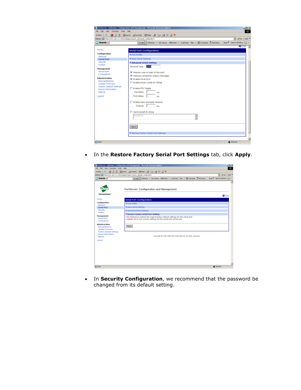|                                    | ÷set · → · ◎ ③ ③ ③serch @Perster ③rede ③ ④ ④ II 国 >                                                                           |                              |
|------------------------------------|-------------------------------------------------------------------------------------------------------------------------------|------------------------------|
|                                    | eddress a http://192.168.111.207/configloots/port_advanced_config.htm?1<br>$\overline{ }$                                     | $p^2$ Go Links <sup>29</sup> |
| <b>My Search</b> -                 | Mose <sup>32</sup> Norton Anthlinus 22<br>Ecopie - AhaVista - Adoleeves AltheWeb - LookSnart Files - 20 Customize (* WyButton |                              |
| Home                               |                                                                                                                               | $U$ Help                     |
|                                    | <b>Serial Port Configuration</b>                                                                                              |                              |
| Configuration<br>Natwork           | F Port Profile                                                                                                                |                              |
| <b>Serial Port</b>                 | ▶ Basic Serial Settings                                                                                                       |                              |
| Security                           | * Advanced Serial Settings                                                                                                    |                              |
| System                             | kx100<br>Terminal Type:                                                                                                       |                              |
| Management                         |                                                                                                                               |                              |
| <b>Serial Ports</b><br>Connections | R Require user to login to the port                                                                                           |                              |
| <b>Administration</b>              | 区 Verbose connection status messages                                                                                          |                              |
| Backup/Restore                     | 区 Enable Force DCD                                                                                                            |                              |
| Update Firmware                    | F Enable binary mode for Telnet:                                                                                              |                              |
| <b>Factory Default Settings</b>    | Enable RTS Toggle                                                                                                             |                              |
| Device Information<br>Reboot       | Pre-delay: 0<br>ms                                                                                                            |                              |
| Logout                             | Post-delay:<br>$\mathbb{D}$                                                                                                   |                              |
|                                    | me                                                                                                                            |                              |
|                                    | E Enable inter-character timeout                                                                                              |                              |
|                                    | Timeout: 0<br>ms                                                                                                              |                              |
|                                    |                                                                                                                               |                              |
|                                    | F Send socket ID string                                                                                                       |                              |
|                                    | SCCKETID<br>$\frac{\mu}{\tau}$                                                                                                |                              |
|                                    |                                                                                                                               |                              |
|                                    |                                                                                                                               |                              |
|                                    | Apply                                                                                                                         |                              |
|                                    |                                                                                                                               |                              |
|                                    | F Restore Factory Serial Port Settings                                                                                        |                              |

• In the **Restore Factory Serial Port Settings** tab, click **Apply**.

| File Edit View Favorites Tools Help<br><b>My Search</b> - | →Back ▼ → → ③ ③ ③ ③ Saarch (@Paverkes ③ Moda ③   Ky- ④ W H W<br>Address 3 http://192.168.111.215/configloots/port_factory_default_config.htm?t<br>Ecopie - Abilitate - Adoleevez AltheWeb - LookSmart Files - WC Customize ( WyButton | <b>ALC:</b><br>pico Links <sup>39</sup><br>$\overline{ }$ |
|-----------------------------------------------------------|---------------------------------------------------------------------------------------------------------------------------------------------------------------------------------------------------------------------------------------|-----------------------------------------------------------|
|                                                           |                                                                                                                                                                                                                                       |                                                           |
|                                                           |                                                                                                                                                                                                                                       |                                                           |
|                                                           |                                                                                                                                                                                                                                       |                                                           |
|                                                           |                                                                                                                                                                                                                                       | More <sup>32</sup> Norton Anthlinus 3-1 +                 |
|                                                           |                                                                                                                                                                                                                                       |                                                           |
|                                                           |                                                                                                                                                                                                                                       |                                                           |
|                                                           | PortServer Configuration and Management                                                                                                                                                                                               |                                                           |
| Connectware"                                              |                                                                                                                                                                                                                                       | $Q$ Help                                                  |
| Home                                                      | <b>Serial Port Configuration</b>                                                                                                                                                                                                      |                                                           |
| Configuration                                             | F Port Profile                                                                                                                                                                                                                        |                                                           |
| Natwork                                                   | ▶ Basic Serial Settings                                                                                                                                                                                                               |                                                           |
| <b>Serial Port</b><br>Security                            |                                                                                                                                                                                                                                       |                                                           |
| System                                                    | Advanced Serial Settings                                                                                                                                                                                                              |                                                           |
| Management                                                | * Restore Fectory Serial Port Settings<br>Click Restore to restore the original factory default settings for this serial port.                                                                                                        |                                                           |
| Serial Ports<br>Connections                               | Caution! All of your current settings for this serial port will be lost.                                                                                                                                                              |                                                           |
| Administration                                            |                                                                                                                                                                                                                                       |                                                           |
| Backup/Restore                                            | Apply                                                                                                                                                                                                                                 |                                                           |
| Update Firmware                                           |                                                                                                                                                                                                                                       |                                                           |
| <b>Factory Default Settings</b><br>Davice Information     |                                                                                                                                                                                                                                       |                                                           |
| Reboot                                                    | Copyright @ 1996-2002 Digi International. All rights recensed.                                                                                                                                                                        |                                                           |
| Logout                                                    |                                                                                                                                                                                                                                       |                                                           |
|                                                           |                                                                                                                                                                                                                                       |                                                           |
|                                                           |                                                                                                                                                                                                                                       |                                                           |
|                                                           |                                                                                                                                                                                                                                       |                                                           |
|                                                           |                                                                                                                                                                                                                                       |                                                           |
|                                                           |                                                                                                                                                                                                                                       |                                                           |
|                                                           |                                                                                                                                                                                                                                       |                                                           |
| el Done                                                   |                                                                                                                                                                                                                                       | <b>D</b> Internet                                         |

• In **Security Configuration**, we recommend that the password be changed from its default setting.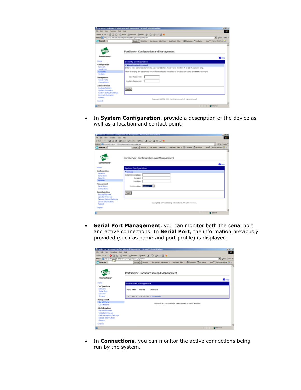|                              | 0404 · → ・ ③ ③ ② ③lave Garante Great ④ ① ④ □ □ 号                                                 | w] philo links !  |
|------------------------------|--------------------------------------------------------------------------------------------------|-------------------|
|                              | ABBWE 10 HIS (110, 348.111.201) sn/aplace/ty/adhet_password_car/lig/ten                          |                   |
| <b>Search -</b>              | Scope . Abstina . Ad Janves Afford . Locklinat Files . Chicamon . But Motor Most Rentwicket Ca . |                   |
|                              |                                                                                                  |                   |
|                              | PortServer Configuration and Management                                                          |                   |
|                              |                                                                                                  |                   |
| Connectware                  |                                                                                                  | $\mathbf{Q}$ Halp |
| Home                         | <b>Security Configuration</b>                                                                    |                   |
| Configuration                | * Administrator Password                                                                         |                   |
| Network                      | Enter a new administrator (noot) password below. Passwords must be 4 to 16 characters long.      |                   |
| Serial Port<br>Security      | After changing the password you will immediately be asked to log back on using the new password. |                   |
| <b>Septem</b>                |                                                                                                  |                   |
| Management                   | New Password:                                                                                    |                   |
| Serial Ports                 |                                                                                                  |                   |
| Connections                  | Confirm Password:                                                                                |                   |
| Administration               |                                                                                                  |                   |
| <b>Backup/Restore</b>        |                                                                                                  |                   |
| <b>Update Firmware</b>       | Apply                                                                                            |                   |
| Factory Default Settings     |                                                                                                  |                   |
| Device Information<br>Reboot |                                                                                                  |                   |
|                              | Copyright & 1996-2003 Digi International. All rights received.                                   |                   |

• In **System Configuration**, provide a description of the device as well as a location and contact point.

|                                                                    | PortScreen (unknown) Configuration and Hanagement - Moreouth Internet Explorer | $-101\times$                 |
|--------------------------------------------------------------------|--------------------------------------------------------------------------------|------------------------------|
| File Edit View Favories Tools Help                                 |                                                                                | . .                          |
|                                                                    | intel + + + 0 3 3 0 literal (gravese @tols 3 12) 3 2 3 3 3                     |                              |
| Address @ http://192.168.111.207/tonfiglo-stando-stan, config.htm. |                                                                                | * phile links **             |
| <b>Bearsh</b>                                                      | Sogie - Abilita - Ad Janes Alfolink - Loddraf Fac - @ Culveise (19)-Satus      | How P. Norton Arthlewi (2) x |
|                                                                    | PortServer Configuration and Management                                        |                              |
| Connectwore                                                        |                                                                                | $Q_{\text{Hilb}}$            |
| Home                                                               | <b>System Configuration</b>                                                    |                              |
| Configuration                                                      | * System.                                                                      |                              |
| Natwork                                                            | System Description:                                                            |                              |
| Sonal Port<br>fourty                                               | Corkast:                                                                       |                              |
| System                                                             | Location:                                                                      |                              |
| Management                                                         |                                                                                |                              |
| <b>Sorial Ports</b><br>Connections                                 | Optimization: Estate 1                                                         |                              |
| Administration<br><b>Bad up/Rectors</b><br>Update Firmware         | Arely.                                                                         |                              |
| Factory Outault Settings<br>Davice Information<br><b>Relixant</b>  | Copyright @ 1936-2022 Digi Enternational, All rights received.                 |                              |
| Logout                                                             |                                                                                |                              |
|                                                                    |                                                                                | <b>C</b> Island              |

• **Serial Port Management**, you can monitor both the serial port and active connections. In **Serial Port**, the information previously provided (such as name and port profile) is displayed.

|                                                                     | PartServer curknown: Configuration and Management - Microsoft Internet Explorer      | 시리치                                  |
|---------------------------------------------------------------------|--------------------------------------------------------------------------------------|--------------------------------------|
| File Edit View Favorites Toda Help                                  |                                                                                      | <b>COL</b>                           |
|                                                                     |                                                                                      |                                      |
| Address (a) http://707.265.311.207/inanagement/ports/ports_mpnt/tbn |                                                                                      | $=$ $100$ $ 100$                     |
| 2np<br>C.Search -                                                   | Google   Alafola - Ask Janves Albeh/eb - Lookhuat, Flex - QD Customics (Strip Button | Mos <sup>9</sup> Martin Anthew 120 - |
| Connectware"                                                        | PortServer Configuration and Management                                              |                                      |
|                                                                     |                                                                                      | $\mathbf{Q}$ Hold                    |
| Home                                                                | Serial Port Management                                                               |                                      |
| Configuration                                                       |                                                                                      |                                      |
| <b>Metwork</b><br>Sanial Death                                      | Post Title<br>Profile<br>Manage                                                      |                                      |
| Security                                                            |                                                                                      |                                      |
| System                                                              | part 1 TCP Sockets Connections<br>ı                                                  |                                      |
| Management                                                          |                                                                                      |                                      |
| Serial Ports                                                        | Copyright @ 1996-2003 Copi International, All rights reserved.                       |                                      |
| Connections                                                         |                                                                                      |                                      |
| <b>Administration</b>                                               |                                                                                      |                                      |
| Backup/Restore<br>Update Firmware                                   |                                                                                      |                                      |
| Factory Default Settings                                            |                                                                                      |                                      |
| Device Information                                                  |                                                                                      |                                      |
| Reboot                                                              |                                                                                      |                                      |
| Logout                                                              |                                                                                      |                                      |
| a                                                                   |                                                                                      | <b>Detected</b>                      |

• In **Connections**, you can monitor the active connections being run by the system.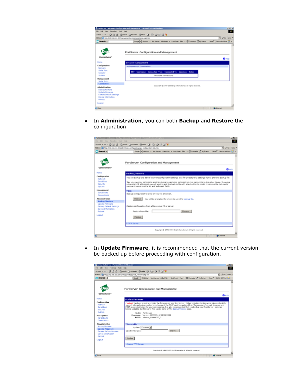|                                     | PortServer (unknown) Configuration and Hanagement - Microsoft Internet Explorer                                           | A  X                       |
|-------------------------------------|---------------------------------------------------------------------------------------------------------------------------|----------------------------|
| File Edit View Farrottes Tools Help |                                                                                                                           | $\sim$                     |
|                                     | intert - → - 〇〇〇 〇 〇senti (jitanotes ④mds 〇 〇 - 3 〇 〇 号                                                                   |                            |
|                                     | Address (@ http://std.168.111.201)nanagenert/cytten/connections_ngvit.htm                                                 | $= 10^{10}$ km $= 10^{10}$ |
| <b>C' Search -</b>                  | Google   Allahima . Adi Jeeves Allhelmids . LookSount Files . (2) Customize (5 My Button . Mare P . Norton Antitious Ca . |                            |
|                                     |                                                                                                                           |                            |
|                                     |                                                                                                                           |                            |
|                                     | PortServer Configuration and Management                                                                                   |                            |
| Connectware"                        |                                                                                                                           |                            |
|                                     |                                                                                                                           | $\mathbf{Q}$ Halp          |
| <b>Home</b>                         | <b>Session Management</b>                                                                                                 |                            |
| Configuration                       | <b>Active Network Connections</b>                                                                                         |                            |
| <b>Nortwork</b><br>Serial Port      |                                                                                                                           |                            |
| Security                            | TTY Username Connected-From Connected-To Sessions Action                                                                  |                            |
| System                              | No active connections.                                                                                                    |                            |
| Management                          |                                                                                                                           |                            |
| Serial Ports<br>Connections         |                                                                                                                           |                            |
| Administration                      | Copyright @ 1994-2003 Digi International. All rights received.                                                            |                            |
| <b>Badiup/Restore</b>               |                                                                                                                           |                            |
| Update Firmware                     |                                                                                                                           |                            |
| Factory Default Settings            |                                                                                                                           |                            |
| Device Information<br>Reboot        |                                                                                                                           |                            |
|                                     |                                                                                                                           |                            |
| Logout                              |                                                                                                                           |                            |
| <b>Done</b>                         |                                                                                                                           | <b>C</b> Islamat           |

• In **Administration**, you can both **Backup** and **Restore** the configuration.

| Search -                                                                                                                      | Address (4) Mtp (010, 168-111-215/administrate configuration/sate configuration Mtp Nov<br>philip Links *<br>۰ı<br>Huss <sup>12</sup> Natur-Artificial A<br>Sough - Richte - Ad-Januar Alfolink - Loddonet Fax - Chicatonics (19)-Sutune                                                                                                                                                                                                                |
|-------------------------------------------------------------------------------------------------------------------------------|---------------------------------------------------------------------------------------------------------------------------------------------------------------------------------------------------------------------------------------------------------------------------------------------------------------------------------------------------------------------------------------------------------------------------------------------------------|
|                                                                                                                               | PortServer Configuration and Management                                                                                                                                                                                                                                                                                                                                                                                                                 |
| Internal                                                                                                                      | $Q_{\text{HHD}}$                                                                                                                                                                                                                                                                                                                                                                                                                                        |
| <b>Configuration</b><br>Network<br><b>Sarial Bort</b><br>Spouth<br>System                                                     | Backup/Reutore<br>You can backup this device's current configuration settings to a file or restore its settings from a previous backup file.<br>The you can copy settings to another device by restoring settings from this backup file to the other device. If you are<br>using static 3P addresses you will want to adit the backup file with a text editor to modily or remove the 'set config'<br>command containing the 'si' and 'submask' fields. |
| Management<br><b>Santa Ports</b><br>Connections                                                                               | * File<br>Badiup configuration to a file on your PC or server.                                                                                                                                                                                                                                                                                                                                                                                          |
| Administration<br>Backup/Restore<br>Updato Firmware<br>Factory Oxfault Settings<br><b>Oavice Information</b><br><b>Robock</b> | You will be prompted for where to save the backup file.<br><b>Backup</b><br>Rectore configuration from a file on your PC or server.<br>Restore From File:<br><b>ITemwork</b>                                                                                                                                                                                                                                                                            |
| Logout                                                                                                                        | <b>Flashbra</b>                                                                                                                                                                                                                                                                                                                                                                                                                                         |

• In **Update Firmware**, it is recommended that the current version be backed up before proceeding with configuration.

| Cannot find corner - Microsoft Internet Engloser | 同例則                                                                                                                                                                                         |
|--------------------------------------------------|---------------------------------------------------------------------------------------------------------------------------------------------------------------------------------------------|
| File Edit View Founded Todd Holo                 |                                                                                                                                                                                             |
|                                                  | intak + → - 日日日 @tanh (ijtenta @tais は)   小日日日号                                                                                                                                             |
|                                                  | . Po List *<br>Albert 3 No (19): 88-111-2150dvVogoodvl.goods finance Mij.Mr.                                                                                                                |
| $T$ Search -                                     | Google   Stablets - Adultance: Alfred Adv - Leekboart Flor - 20 Customine 7 McButton<br>Mos <sup>2</sup> floton Antique (2) -                                                               |
|                                                  |                                                                                                                                                                                             |
|                                                  |                                                                                                                                                                                             |
|                                                  | PortServer Configuration and Management                                                                                                                                                     |
| Connectware"                                     |                                                                                                                                                                                             |
|                                                  | $Q_{\text{HAD}}$                                                                                                                                                                            |
| Home                                             | <b>Update Finnware</b>                                                                                                                                                                      |
| Configuration                                    | Contion! You have asked to update the firmware on your PartServer. When updating the firmware, please chesk the                                                                             |
| Notwork                                          | support site and release notes to determine if the POST must be updated first. The version of current firmware and                                                                          |
| Social Port<br>Security                          | POST is provided below for your conversions. It is also recommended that you backup your PortServer settings.<br>before updating the firmware. This can be done on the Eastup/Restare page. |
| System.                                          | Madel: PortServer                                                                                                                                                                           |
| Management                                       | Firmware: Version 02000774 F 11/21/2003                                                                                                                                                     |
| <b>Sorial Pente</b>                              | POST: release.02000775.D                                                                                                                                                                    |
| Connections                                      |                                                                                                                                                                                             |
| <b>Administration</b>                            | * Fram a File                                                                                                                                                                               |
| <b>Badius/Rectors</b><br><b>Update Firewore</b>  | Update: Firmware #                                                                                                                                                                          |
| <b>Famory Datast Settings</b>                    | Solect Firmware:<br>Drawse                                                                                                                                                                  |
| <b>Opsize Information</b>                        |                                                                                                                                                                                             |
| Robert                                           | <b>Update</b>                                                                                                                                                                               |
| Logout                                           |                                                                                                                                                                                             |
|                                                  | <b>Kingma TFTP Server</b>                                                                                                                                                                   |
|                                                  |                                                                                                                                                                                             |
|                                                  | Copyright @ 1986-2082 Digi International, All rights recensel.                                                                                                                              |
|                                                  |                                                                                                                                                                                             |
| e I bone                                         | <b>C</b> Island                                                                                                                                                                             |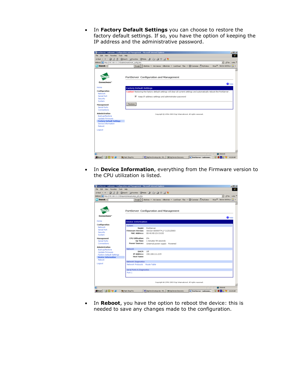• In **Factory Default Settings** you can choose to restore the factory default settings. If so, you have the option of keeping the IP address and the administrative password.

|                                                                | PortServer <unknown> Configuration and Management - Microsoft Internet Explorer</unknown>                                    | $-10x$                  |
|----------------------------------------------------------------|------------------------------------------------------------------------------------------------------------------------------|-------------------------|
| File Edit View Favorites Tools Help                            |                                                                                                                              | 457                     |
|                                                                | ÷sek - → - ◎ ③ ③ ③serch @Perche ③Node ③ ②- ④ ③ ④ 图 著                                                                         |                         |
| Address 20 http://192.168.111.215/admin/reset/reset_config.htm | $\overline{ }$                                                                                                               | WGo Links <sup>39</sup> |
| $M$ Search $\sim$                                              | Boogle - Ahalista - Ask Janves AltheWeb - LookSmart Files - WE Customics (WH) Button<br>Moss <sup>32</sup> Norton AntiWrus 2 |                         |
|                                                                |                                                                                                                              |                         |
|                                                                | PortServer Configuration and Management                                                                                      |                         |
| Connectware"                                                   |                                                                                                                              | $Q$ Help                |
| Home                                                           | <b>Factory Default Settings</b>                                                                                              |                         |
| Configuration                                                  | Caution! Restoring the factory default settings will dear all current settings and automatically reboot the PortServer.      |                         |
| Natwork<br>Serial Port                                         | R Keep IP address settings and administrator password                                                                        |                         |
| Security                                                       |                                                                                                                              |                         |
| System                                                         |                                                                                                                              |                         |
| Management<br>Serial Ports                                     | Plestore                                                                                                                     |                         |
| Connections                                                    |                                                                                                                              |                         |
| Administration                                                 | Copyright @ 1996-2002 Digi International. All rights recensed.                                                               |                         |
| Backup/Restore                                                 |                                                                                                                              |                         |
| Update Firmware<br><b>Factory Default Settings</b>             |                                                                                                                              |                         |
| Davice Information                                             |                                                                                                                              |                         |
| Reboot                                                         |                                                                                                                              |                         |
| Lagaut                                                         |                                                                                                                              |                         |
|                                                                |                                                                                                                              |                         |
|                                                                |                                                                                                                              |                         |
|                                                                |                                                                                                                              |                         |
|                                                                |                                                                                                                              |                         |
|                                                                |                                                                                                                              |                         |
|                                                                |                                                                                                                              |                         |
| a                                                              | <b>D</b> Internet                                                                                                            |                         |
| MODS<br><b>Sel Start</b>                                       | S digitine 14 setup doc - N    Scigi Device Discovery<br>PortServer <unknown<br><b>69</b> Paint Shop Pro</unknown<br>        | <b>参照局 27 10:28 AN</b>  |

• In **Device Information**, everything from the Firmware version to the CPU utilization is listed.

| File Edit View Favorites Tools Help<br>4-Back - → - ③ ③ ③ ③Saarch @Paverbox ③Passia ③   23- ④ II 图 写<br>Address 8 http://192.168.111.215/reports/status/system_info.htm<br><b>WD Search</b> -<br>Connectware"<br>Home<br>Configuration<br>Natwork<br>Serial Port<br>Security<br>System |                               | Ecopie - Ahalidate - Adk Jeannes Althelwieb - LookSmart Files - WECustomics ( MyButton |                                                                | $\hat{p}$ Go Links $^{\circ}$<br>$\overline{\phantom{a}}$<br>Moss <sup>32</sup> Norton Anthlinus 2 | d. |
|----------------------------------------------------------------------------------------------------------------------------------------------------------------------------------------------------------------------------------------------------------------------------------------|-------------------------------|----------------------------------------------------------------------------------------|----------------------------------------------------------------|----------------------------------------------------------------------------------------------------|----|
|                                                                                                                                                                                                                                                                                        |                               |                                                                                        |                                                                |                                                                                                    |    |
|                                                                                                                                                                                                                                                                                        |                               |                                                                                        |                                                                |                                                                                                    |    |
|                                                                                                                                                                                                                                                                                        |                               |                                                                                        |                                                                |                                                                                                    |    |
|                                                                                                                                                                                                                                                                                        |                               |                                                                                        |                                                                |                                                                                                    |    |
|                                                                                                                                                                                                                                                                                        |                               |                                                                                        |                                                                |                                                                                                    |    |
|                                                                                                                                                                                                                                                                                        |                               | PortServer Configuration and Management                                                |                                                                |                                                                                                    |    |
|                                                                                                                                                                                                                                                                                        |                               |                                                                                        |                                                                | $Q$ Helo                                                                                           |    |
|                                                                                                                                                                                                                                                                                        | <b>Device Information</b>     |                                                                                        |                                                                |                                                                                                    |    |
|                                                                                                                                                                                                                                                                                        | System                        |                                                                                        |                                                                |                                                                                                    |    |
|                                                                                                                                                                                                                                                                                        | Madel:                        | PortServer                                                                             |                                                                |                                                                                                    |    |
|                                                                                                                                                                                                                                                                                        |                               | Firmwere Version: Version 82000774 F 11/21/2003                                        |                                                                |                                                                                                    |    |
|                                                                                                                                                                                                                                                                                        |                               | MAC Address: 00:40:90:23:C0:DD                                                         |                                                                |                                                                                                    |    |
| Management                                                                                                                                                                                                                                                                             | CPU Utilization:              | D%                                                                                     |                                                                |                                                                                                    |    |
| Serial Ports                                                                                                                                                                                                                                                                           |                               | Up Time: 1 minutes 59 seconds                                                          |                                                                |                                                                                                    |    |
| Connections                                                                                                                                                                                                                                                                            | Power Sources:                | External power supply Powered                                                          |                                                                |                                                                                                    |    |
| Administration                                                                                                                                                                                                                                                                         | Network                       |                                                                                        |                                                                |                                                                                                    |    |
| Backup/Restore                                                                                                                                                                                                                                                                         | DHCP:                         | <b>Dff</b>                                                                             |                                                                |                                                                                                    |    |
| Update Firmware<br><b>Factory Default Settings</b>                                                                                                                                                                                                                                     | IP Address:                   | 192.168.111.215                                                                        |                                                                |                                                                                                    |    |
| <b>Device Information</b>                                                                                                                                                                                                                                                              | <b>Host Name:</b>             |                                                                                        |                                                                |                                                                                                    |    |
| Reboot                                                                                                                                                                                                                                                                                 |                               |                                                                                        |                                                                |                                                                                                    |    |
|                                                                                                                                                                                                                                                                                        | Network Diagnostics           |                                                                                        |                                                                |                                                                                                    |    |
| Lagaut                                                                                                                                                                                                                                                                                 | Network Protocols Route Table |                                                                                        |                                                                |                                                                                                    |    |
|                                                                                                                                                                                                                                                                                        | Serial Ports & Diagnostics    |                                                                                        |                                                                |                                                                                                    |    |
| Port 1                                                                                                                                                                                                                                                                                 |                               |                                                                                        |                                                                |                                                                                                    |    |
|                                                                                                                                                                                                                                                                                        |                               |                                                                                        |                                                                |                                                                                                    |    |
|                                                                                                                                                                                                                                                                                        |                               |                                                                                        |                                                                |                                                                                                    |    |
|                                                                                                                                                                                                                                                                                        |                               |                                                                                        | Copyright @ 1996-2003 Digi International. All rights reserved. |                                                                                                    |    |
| E                                                                                                                                                                                                                                                                                      |                               |                                                                                        |                                                                |                                                                                                    |    |
| 過Start   [3] 図 Y あ<br><b>69 Paint Shop Pro</b>                                                                                                                                                                                                                                         |                               |                                                                                        |                                                                | <b>D</b> Internet                                                                                  |    |

• In **Reboot**, you have the option to reboot the device: this is needed to save any changes made to the configuration.